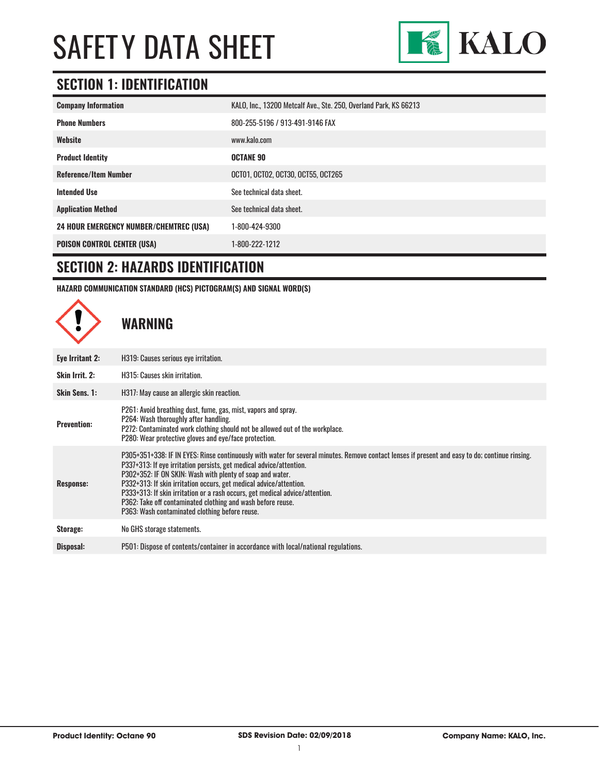

### **SECTION 1: IDENTIFICATION**

| <b>Company Information</b>                     | KALO, Inc., 13200 Metcalf Ave., Ste. 250, Overland Park, KS 66213 |  |
|------------------------------------------------|-------------------------------------------------------------------|--|
| <b>Phone Numbers</b>                           | 800-255-5196 / 913-491-9146 FAX                                   |  |
| Website                                        | www.kalo.com                                                      |  |
| <b>Product Identity</b>                        | <b>OCTANE 90</b>                                                  |  |
| <b>Reference/Item Number</b>                   | OCT01, OCT02, OCT30, OCT55, OCT265                                |  |
| <b>Intended Use</b>                            | See technical data sheet.                                         |  |
| <b>Application Method</b>                      | See technical data sheet.                                         |  |
| <b>24 HOUR EMERGENCY NUMBER/CHEMTREC (USA)</b> | 1-800-424-9300                                                    |  |
| <b>POISON CONTROL CENTER (USA)</b>             | 1-800-222-1212                                                    |  |

#### **SECTION 2: HAZARDS IDENTIFICATION**

**HAZARD COMMUNICATION STANDARD (HCS) PICTOGRAM(S) AND SIGNAL WORD(S)**

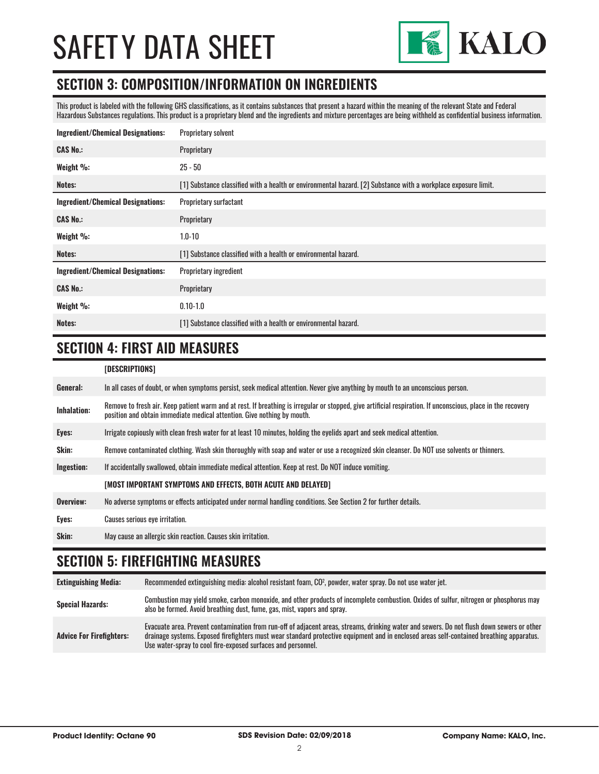

#### **SECTION 3: COMPOSITION/INFORMATION ON INGREDIENTS**

This product is labeled with the following GHS classifications, as it contains substances that present a hazard within the meaning of the relevant State and Federal Hazardous Substances regulations. This product is a proprietary blend and the ingredients and mixture percentages are being withheld as confidential business information.

| <b>Ingredient/Chemical Designations:</b> | Proprietary solvent                                                                                            |
|------------------------------------------|----------------------------------------------------------------------------------------------------------------|
| <b>CAS No.:</b>                          | Proprietary                                                                                                    |
| Weight %:                                | $25 - 50$                                                                                                      |
| Notes:                                   | [1] Substance classified with a health or environmental hazard. [2] Substance with a workplace exposure limit. |
| <b>Ingredient/Chemical Designations:</b> | Proprietary surfactant                                                                                         |
| <b>CAS No.:</b>                          | Proprietary                                                                                                    |
| Weight %:                                | $1.0 - 10$                                                                                                     |
| Notes:                                   | [1] Substance classified with a health or environmental hazard.                                                |
| <b>Ingredient/Chemical Designations:</b> | Proprietary ingredient                                                                                         |
| <b>CAS No.:</b>                          | Proprietary                                                                                                    |
| Weight %:                                | $0.10 - 1.0$                                                                                                   |
| Notes:                                   | [1] Substance classified with a health or environmental hazard.                                                |

#### **SECTION 4: FIRST AID MEASURES**

| [DESCRIPTIONS] |
|----------------|
|----------------|

| General:    | In all cases of doubt, or when symptoms persist, seek medical attention. Never give anything by mouth to an unconscious person.                                                                                                         |
|-------------|-----------------------------------------------------------------------------------------------------------------------------------------------------------------------------------------------------------------------------------------|
| Inhalation: | Remove to fresh air. Keep patient warm and at rest. If breathing is irregular or stopped, give artificial respiration. If unconscious, place in the recovery<br>position and obtain immediate medical attention. Give nothing by mouth. |
| Eyes:       | Irrigate copiously with clean fresh water for at least 10 minutes, holding the eyelids apart and seek medical attention.                                                                                                                |
| Skin:       | Remove contaminated clothing. Wash skin thoroughly with soap and water or use a recognized skin cleanser. Do NOT use solvents or thinners.                                                                                              |
| Ingestion:  | If accidentally swallowed, obtain immediate medical attention. Keep at rest, Do NOT induce vomiting.                                                                                                                                    |
|             | [MOST IMPORTANT SYMPTOMS AND EFFECTS, BOTH ACUTE AND DELAYED]                                                                                                                                                                           |
| Overview:   | No adverse symptoms or effects anticipated under normal handling conditions. See Section 2 for further details.                                                                                                                         |
| Eyes:       | Causes serious eye irritation.                                                                                                                                                                                                          |
| Skin:       | May cause an allergic skin reaction. Causes skin irritation.                                                                                                                                                                            |

### **SECTION 5: FIREFIGHTING MEASURES**

| <b>Extinguishing Media:</b>     | Recommended extinguishing media: alcohol resistant foam, CO <sup>2</sup> , powder, water spray. Do not use water jet.                                                                                                                                                                                                                                  |
|---------------------------------|--------------------------------------------------------------------------------------------------------------------------------------------------------------------------------------------------------------------------------------------------------------------------------------------------------------------------------------------------------|
| <b>Special Hazards:</b>         | Combustion may yield smoke, carbon monoxide, and other products of incomplete combustion. Oxides of sulfur, nitrogen or phosphorus may<br>also be formed. Avoid breathing dust, fume, gas, mist, vapors and spray.                                                                                                                                     |
| <b>Advice For Firefighters:</b> | Evacuate area. Prevent contamination from run-off of adjacent areas, streams, drinking water and sewers. Do not flush down sewers or other<br>drainage systems. Exposed firefighters must wear standard protective equipment and in enclosed areas self-contained breathing apparatus.<br>Use water-spray to cool fire-exposed surfaces and personnel. |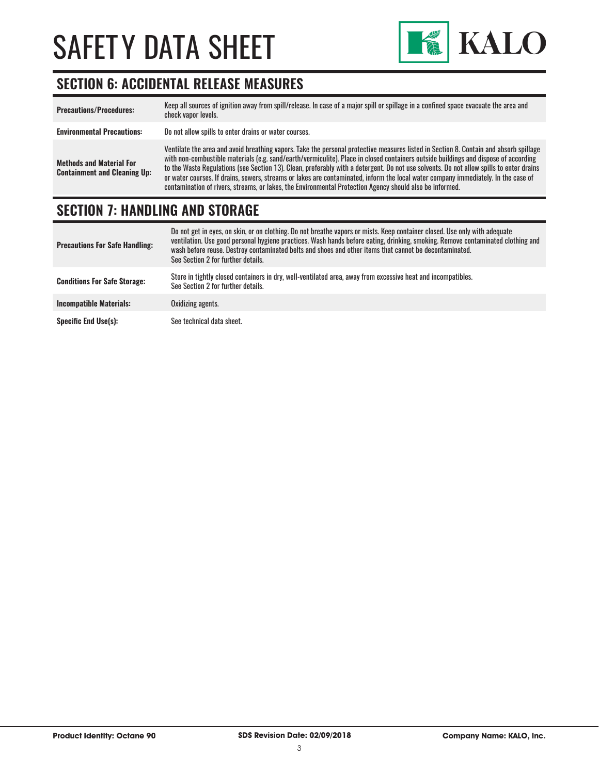

### **SECTION 6: ACCIDENTAL RELEASE MEASURES**

| <b>Precautions/Procedures:</b>                                         | Keep all sources of ignition away from spill/release. In case of a major spill or spillage in a confined space evacuate the area and<br>check vapor levels.                                                                                                                                                                                                                                                                                                                                                                                                                                                                                                               |
|------------------------------------------------------------------------|---------------------------------------------------------------------------------------------------------------------------------------------------------------------------------------------------------------------------------------------------------------------------------------------------------------------------------------------------------------------------------------------------------------------------------------------------------------------------------------------------------------------------------------------------------------------------------------------------------------------------------------------------------------------------|
| <b>Environmental Precautions:</b>                                      | Do not allow spills to enter drains or water courses.                                                                                                                                                                                                                                                                                                                                                                                                                                                                                                                                                                                                                     |
| <b>Methods and Material For</b><br><b>Containment and Cleaning Up:</b> | Ventilate the area and avoid breathing vapors. Take the personal protective measures listed in Section 8. Contain and absorb spillage<br>with non-combustible materials (e.g. sand/earth/vermiculite). Place in closed containers outside buildings and dispose of according<br>to the Waste Regulations (see Section 13). Clean, preferably with a detergent. Do not use solvents. Do not allow spills to enter drains<br>or water courses. If drains, sewers, streams or lakes are contaminated, inform the local water company immediately. In the case of<br>contamination of rivers, streams, or lakes, the Environmental Protection Agency should also be informed. |

### **SECTION 7: HANDLING AND STORAGE**

| <b>Precautions For Safe Handling:</b> | Do not get in eyes, on skin, or on clothing. Do not breathe vapors or mists. Keep container closed. Use only with adequate<br>ventilation. Use good personal hygiene practices. Wash hands before eating, drinking, smoking. Remove contaminated clothing and<br>wash before reuse. Destroy contaminated belts and shoes and other items that cannot be decontaminated.<br>See Section 2 for further details. |
|---------------------------------------|---------------------------------------------------------------------------------------------------------------------------------------------------------------------------------------------------------------------------------------------------------------------------------------------------------------------------------------------------------------------------------------------------------------|
| <b>Conditions For Safe Storage:</b>   | Store in tightly closed containers in dry, well-ventilated area, away from excessive heat and incompatibles.<br>See Section 2 for further details.                                                                                                                                                                                                                                                            |
| <b>Incompatible Materials:</b>        | Oxidizing agents.                                                                                                                                                                                                                                                                                                                                                                                             |
| <b>Specific End Use(s):</b>           | See technical data sheet.                                                                                                                                                                                                                                                                                                                                                                                     |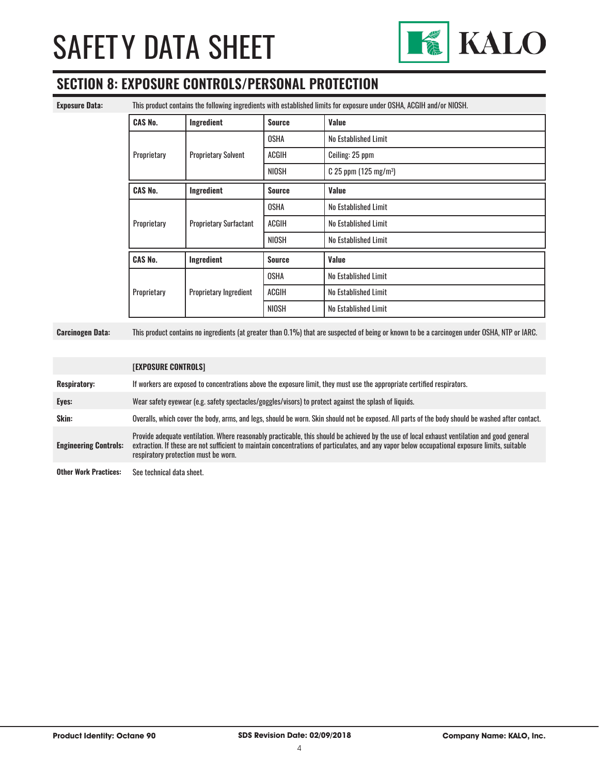

### **SECTION 8: EXPOSURE CONTROLS/PERSONAL PROTECTION**

**Exposure Data:** This product contains the following ingredients with established limits for exposure under OSHA, ACGIH and/or NIOSH.

| <b>CAS No.</b> | Ingredient                    | <b>Source</b> | Value                               |
|----------------|-------------------------------|---------------|-------------------------------------|
|                |                               | <b>OSHA</b>   | No Established Limit                |
| Proprietary    | <b>Proprietary Solvent</b>    | <b>ACGIH</b>  | Ceiling: 25 ppm                     |
|                |                               | <b>NIOSH</b>  | $C$ 25 ppm (125 mg/m <sup>3</sup> ) |
| <b>CAS No.</b> | Ingredient                    | <b>Source</b> | Value                               |
|                |                               | <b>OSHA</b>   | No Established Limit                |
| Proprietary    | <b>Proprietary Surfactant</b> | <b>ACGIH</b>  | No Established Limit                |
|                |                               | <b>NIOSH</b>  | No Established Limit                |
| <b>CAS No.</b> | Ingredient                    | <b>Source</b> | Value                               |
|                |                               | <b>OSHA</b>   | No Established Limit                |
| Proprietary    | Proprietary Ingredient        | <b>ACGIH</b>  | No Established Limit                |
|                |                               | <b>NIOSH</b>  | No Established Limit                |

**Carcinogen Data:** This product contains no ingredients (at greater than 0.1%) that are suspected of being or known to be a carcinogen under OSHA, NTP or IARC.

|                                                | <b>[EXPOSURE CONTROLS]</b>                                                                                                                                                                                                                                                                                                             |
|------------------------------------------------|----------------------------------------------------------------------------------------------------------------------------------------------------------------------------------------------------------------------------------------------------------------------------------------------------------------------------------------|
| <b>Respiratory:</b>                            | If workers are exposed to concentrations above the exposure limit, they must use the appropriate certified respirators.                                                                                                                                                                                                                |
| Eyes:                                          | Wear safety eyewear (e.g. safety spectacles/goggles/visors) to protect against the splash of liquids.                                                                                                                                                                                                                                  |
| Skin:                                          | Overalls, which cover the body, arms, and legs, should be worn. Skin should not be exposed. All parts of the body should be washed after contact.                                                                                                                                                                                      |
| <b>Engineering Controls:</b>                   | Provide adequate ventilation. Where reasonably practicable, this should be achieved by the use of local exhaust ventilation and good general<br>extraction. If these are not sufficient to maintain concentrations of particulates, and any vapor below occupational exposure limits, suitable<br>respiratory protection must be worn. |
| Other Werk Dreatings. Can technical data shoot |                                                                                                                                                                                                                                                                                                                                        |

**Other Work Practices:** See technical data sheet.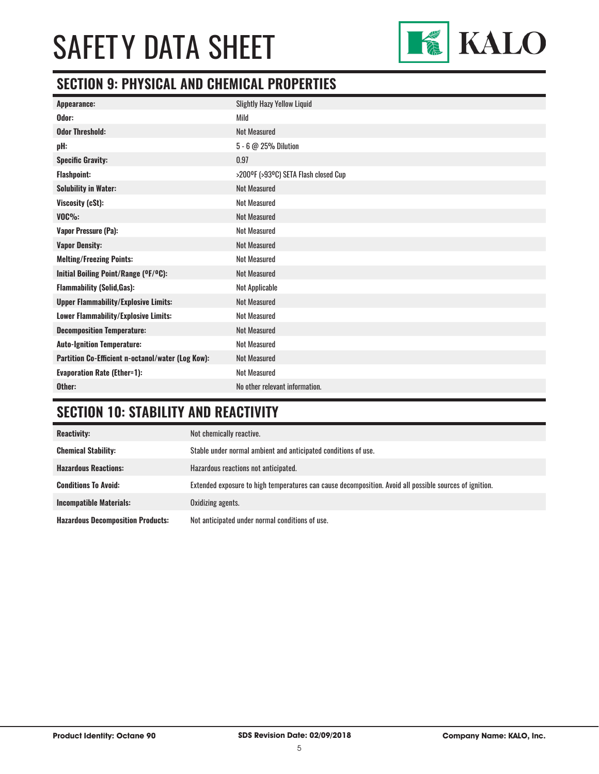

### **SECTION 9: PHYSICAL AND CHEMICAL PROPERTIES**

| <b>Slightly Hazy Yellow Liquid</b>   |
|--------------------------------------|
| Mild                                 |
| <b>Not Measured</b>                  |
| 5 - 6 @ 25% Dilution                 |
| 0.97                                 |
| >200°F (>93°C) SETA Flash closed Cup |
| <b>Not Measured</b>                  |
| <b>Not Measured</b>                  |
| <b>Not Measured</b>                  |
| <b>Not Measured</b>                  |
| <b>Not Measured</b>                  |
| <b>Not Measured</b>                  |
| <b>Not Measured</b>                  |
| Not Applicable                       |
| <b>Not Measured</b>                  |
| <b>Not Measured</b>                  |
| <b>Not Measured</b>                  |
| <b>Not Measured</b>                  |
| <b>Not Measured</b>                  |
| <b>Not Measured</b>                  |
| No other relevant information.       |
|                                      |

### **SECTION 10: STABILITY AND REACTIVITY**

| <b>Reactivity:</b>                       | Not chemically reactive.                                                                                |
|------------------------------------------|---------------------------------------------------------------------------------------------------------|
| <b>Chemical Stability:</b>               | Stable under normal ambient and anticipated conditions of use.                                          |
| <b>Hazardous Reactions:</b>              | Hazardous reactions not anticipated.                                                                    |
| <b>Conditions To Avoid:</b>              | Extended exposure to high temperatures can cause decomposition. Avoid all possible sources of ignition. |
| <b>Incompatible Materials:</b>           | Oxidizing agents.                                                                                       |
| <b>Hazardous Decomposition Products:</b> | Not anticipated under normal conditions of use.                                                         |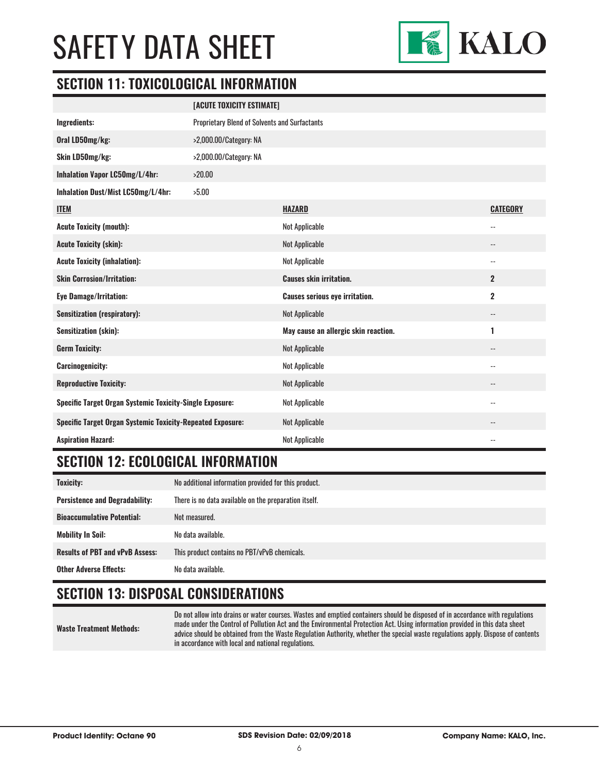

#### **SECTION 11: TOXICOLOGICAL INFORMATION**

|                                                                   | [ACUTE TOXICITY ESTIMATE]                            |                                       |                          |
|-------------------------------------------------------------------|------------------------------------------------------|---------------------------------------|--------------------------|
| Ingredients:                                                      | <b>Proprietary Blend of Solvents and Surfactants</b> |                                       |                          |
| Oral LD50mg/kg:                                                   | >2,000.00/Category: NA                               |                                       |                          |
| Skin LD50mg/kg:                                                   | >2,000.00/Category: NA                               |                                       |                          |
| Inhalation Vapor LC50mg/L/4hr:                                    | >20.00                                               |                                       |                          |
| Inhalation Dust/Mist LC50mg/L/4hr:                                | >5.00                                                |                                       |                          |
| <b>ITEM</b>                                                       |                                                      | <b>HAZARD</b>                         | <b>CATEGORY</b>          |
| <b>Acute Toxicity (mouth):</b>                                    |                                                      | <b>Not Applicable</b>                 | $-$                      |
| <b>Acute Toxicity (skin):</b>                                     |                                                      | <b>Not Applicable</b>                 |                          |
| <b>Acute Toxicity (inhalation):</b>                               |                                                      | Not Applicable                        | $\overline{\phantom{a}}$ |
| <b>Skin Corrosion/Irritation:</b>                                 |                                                      | <b>Causes skin irritation.</b>        | $\overline{2}$           |
| <b>Eye Damage/Irritation:</b>                                     |                                                      | <b>Causes serious eye irritation.</b> | $\mathbf 2$              |
| <b>Sensitization (respiratory):</b>                               |                                                      | <b>Not Applicable</b>                 | $\overline{\phantom{a}}$ |
| <b>Sensitization (skin):</b>                                      |                                                      | May cause an allergic skin reaction.  | 1                        |
| <b>Germ Toxicity:</b>                                             |                                                      | <b>Not Applicable</b>                 | $\overline{\phantom{a}}$ |
| <b>Carcinogenicity:</b>                                           |                                                      | <b>Not Applicable</b>                 | $\overline{\phantom{a}}$ |
| <b>Reproductive Toxicity:</b>                                     |                                                      | <b>Not Applicable</b>                 | $-$                      |
| <b>Specific Target Organ Systemic Toxicity-Single Exposure:</b>   |                                                      | Not Applicable                        | $\overline{a}$           |
| <b>Specific Target Organ Systemic Toxicity-Repeated Exposure:</b> |                                                      | <b>Not Applicable</b>                 |                          |
| <b>Aspiration Hazard:</b>                                         |                                                      | <b>Not Applicable</b>                 | $\overline{\phantom{a}}$ |

#### **SECTION 12: ECOLOGICAL INFORMATION**

| Toxicity:                              | No additional information provided for this product.  |  |
|----------------------------------------|-------------------------------------------------------|--|
| <b>Persistence and Degradability:</b>  | There is no data available on the preparation itself. |  |
| <b>Bioaccumulative Potential:</b>      | Not measured.                                         |  |
| <b>Mobility In Soil:</b>               | No data available.                                    |  |
| <b>Results of PBT and vPvB Assess:</b> | This product contains no PBT/vPvB chemicals.          |  |
| <b>Other Adverse Effects:</b>          | No data available.                                    |  |

### **SECTION 13: DISPOSAL CONSIDERATIONS**

**Waste Treatment Methods:**

Do not allow into drains or water courses. Wastes and emptied containers should be disposed of in accordance with regulations made under the Control of Pollution Act and the Environmental Protection Act. Using information provided in this data sheet advice should be obtained from the Waste Regulation Authority, whether the special waste regulations apply. Dispose of contents in accordance with local and national regulations.